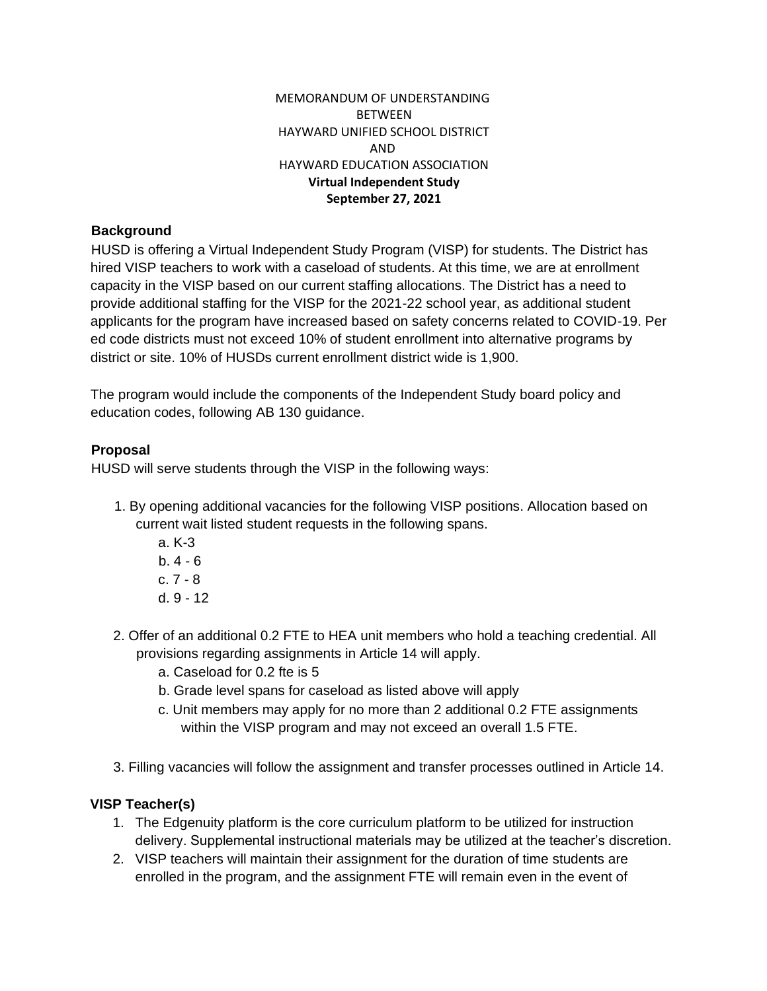## MEMORANDUM OF UNDERSTANDING BETWEEN HAYWARD UNIFIED SCHOOL DISTRICT AND HAYWARD EDUCATION ASSOCIATION **Virtual Independent Study September 27, 2021**

## **Background**

HUSD is offering a Virtual Independent Study Program (VISP) for students. The District has hired VISP teachers to work with a caseload of students. At this time, we are at enrollment capacity in the VISP based on our current staffing allocations. The District has a need to provide additional staffing for the VISP for the 2021-22 school year, as additional student applicants for the program have increased based on safety concerns related to COVID-19. Per ed code districts must not exceed 10% of student enrollment into alternative programs by district or site. 10% of HUSDs current enrollment district wide is 1,900.

The program would include the components of the Independent Study board policy and education codes, following AB 130 guidance.

## **Proposal**

HUSD will serve students through the VISP in the following ways:

- 1. By opening additional vacancies for the following VISP positions. Allocation based on current wait listed student requests in the following spans.
	- a. K-3 b. 4 - 6 c. 7 - 8 d. 9 - 12
- 2. Offer of an additional 0.2 FTE to HEA unit members who hold a teaching credential. All provisions regarding assignments in Article 14 will apply.
	- a. Caseload for 0.2 fte is 5
	- b. Grade level spans for caseload as listed above will apply
	- c. Unit members may apply for no more than 2 additional 0.2 FTE assignments within the VISP program and may not exceed an overall 1.5 FTE.
- 3. Filling vacancies will follow the assignment and transfer processes outlined in Article 14.

# **VISP Teacher(s)**

- 1. The Edgenuity platform is the core curriculum platform to be utilized for instruction delivery. Supplemental instructional materials may be utilized at the teacher's discretion.
- 2. VISP teachers will maintain their assignment for the duration of time students are enrolled in the program, and the assignment FTE will remain even in the event of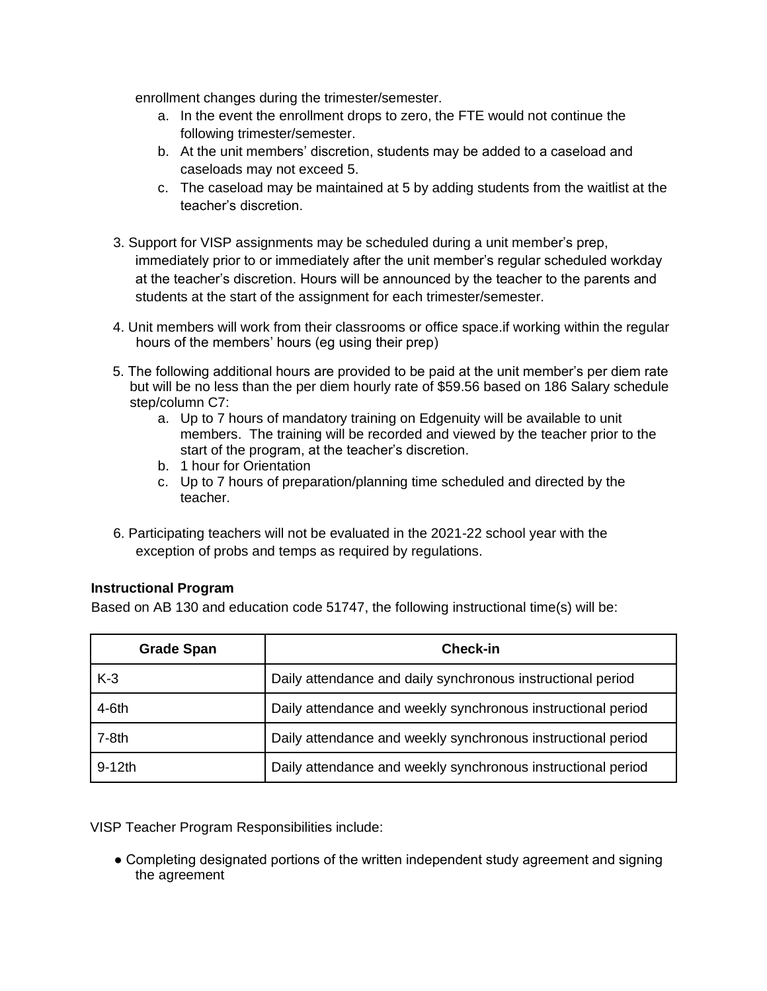enrollment changes during the trimester/semester.

- a. In the event the enrollment drops to zero, the FTE would not continue the following trimester/semester.
- b. At the unit members' discretion, students may be added to a caseload and caseloads may not exceed 5.
- c. The caseload may be maintained at 5 by adding students from the waitlist at the teacher's discretion.
- 3. Support for VISP assignments may be scheduled during a unit member's prep, immediately prior to or immediately after the unit member's regular scheduled workday at the teacher's discretion. Hours will be announced by the teacher to the parents and students at the start of the assignment for each trimester/semester.
- 4. Unit members will work from their classrooms or office space.if working within the regular hours of the members' hours (eg using their prep)
- 5. The following additional hours are provided to be paid at the unit member's per diem rate but will be no less than the per diem hourly rate of \$59.56 based on 186 Salary schedule step/column C7:
	- a. Up to 7 hours of mandatory training on Edgenuity will be available to unit members. The training will be recorded and viewed by the teacher prior to the start of the program, at the teacher's discretion.
	- b. 1 hour for Orientation
	- c. Up to 7 hours of preparation/planning time scheduled and directed by the teacher.
- 6. Participating teachers will not be evaluated in the 2021-22 school year with the exception of probs and temps as required by regulations.

## **Instructional Program**

Based on AB 130 and education code 51747, the following instructional time(s) will be:

| <b>Grade Span</b> | <b>Check-in</b>                                              |
|-------------------|--------------------------------------------------------------|
| $K-3$             | Daily attendance and daily synchronous instructional period  |
| 4-6th             | Daily attendance and weekly synchronous instructional period |
| $7-8th$           | Daily attendance and weekly synchronous instructional period |
| $9-12$ th         | Daily attendance and weekly synchronous instructional period |

VISP Teacher Program Responsibilities include:

• Completing designated portions of the written independent study agreement and signing the agreement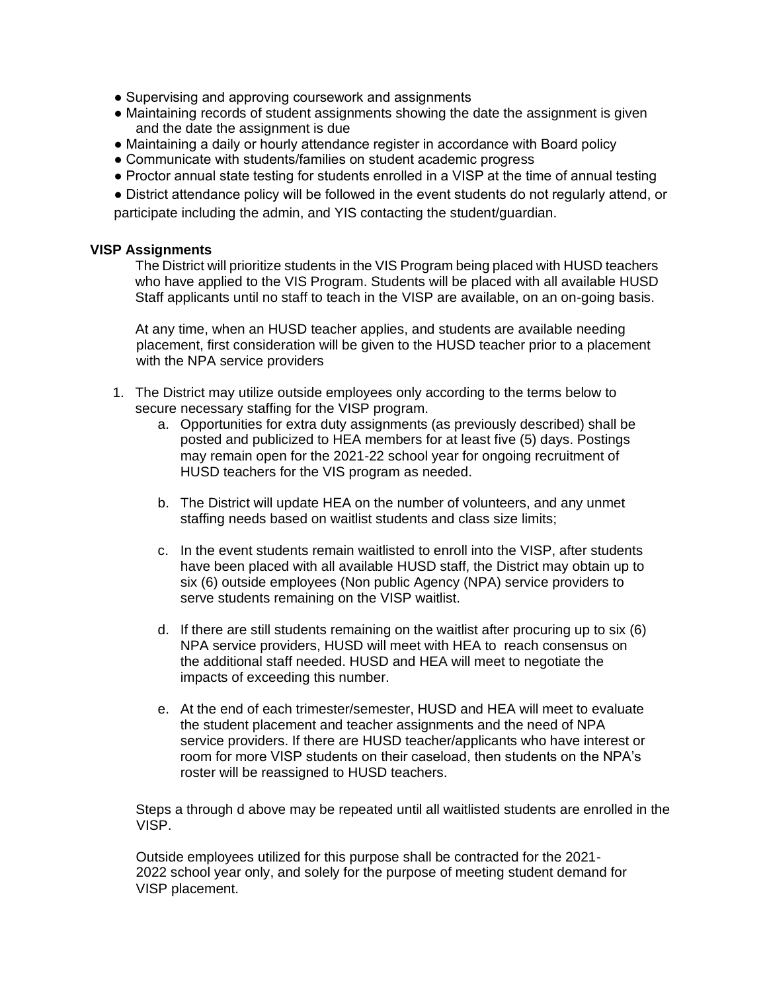- Supervising and approving coursework and assignments
- Maintaining records of student assignments showing the date the assignment is given and the date the assignment is due
- Maintaining a daily or hourly attendance register in accordance with Board policy
- Communicate with students/families on student academic progress
- Proctor annual state testing for students enrolled in a VISP at the time of annual testing

● District attendance policy will be followed in the event students do not regularly attend, or participate including the admin, and YIS contacting the student/guardian.

#### **VISP Assignments**

The District will prioritize students in the VIS Program being placed with HUSD teachers who have applied to the VIS Program. Students will be placed with all available HUSD Staff applicants until no staff to teach in the VISP are available, on an on-going basis.

At any time, when an HUSD teacher applies, and students are available needing placement, first consideration will be given to the HUSD teacher prior to a placement with the NPA service providers

- 1. The District may utilize outside employees only according to the terms below to secure necessary staffing for the VISP program.
	- a. Opportunities for extra duty assignments (as previously described) shall be posted and publicized to HEA members for at least five (5) days. Postings may remain open for the 2021-22 school year for ongoing recruitment of HUSD teachers for the VIS program as needed.
	- b. The District will update HEA on the number of volunteers, and any unmet staffing needs based on waitlist students and class size limits;
	- c. In the event students remain waitlisted to enroll into the VISP, after students have been placed with all available HUSD staff, the District may obtain up to six (6) outside employees (Non public Agency (NPA) service providers to serve students remaining on the VISP waitlist.
	- d. If there are still students remaining on the waitlist after procuring up to six (6) NPA service providers, HUSD will meet with HEA to reach consensus on the additional staff needed. HUSD and HEA will meet to negotiate the impacts of exceeding this number.
	- e. At the end of each trimester/semester, HUSD and HEA will meet to evaluate the student placement and teacher assignments and the need of NPA service providers. If there are HUSD teacher/applicants who have interest or room for more VISP students on their caseload, then students on the NPA's roster will be reassigned to HUSD teachers.

Steps a through d above may be repeated until all waitlisted students are enrolled in the VISP.

Outside employees utilized for this purpose shall be contracted for the 2021- 2022 school year only, and solely for the purpose of meeting student demand for VISP placement.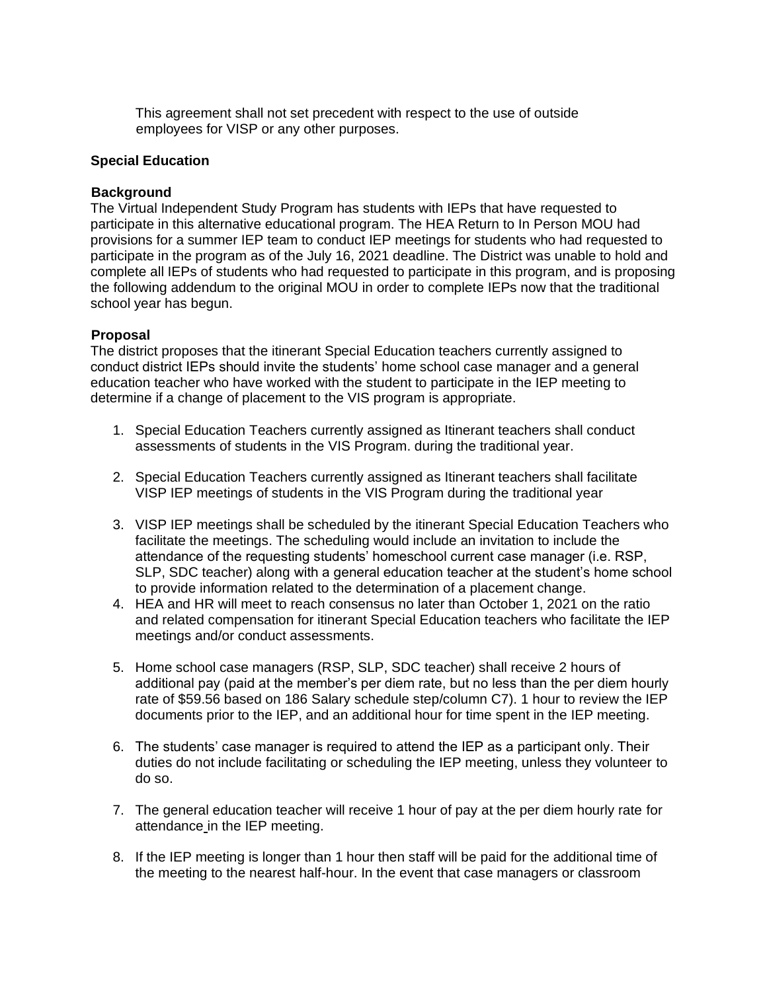This agreement shall not set precedent with respect to the use of outside employees for VISP or any other purposes.

#### **Special Education**

#### **Background**

The Virtual Independent Study Program has students with IEPs that have requested to participate in this alternative educational program. The HEA Return to In Person MOU had provisions for a summer IEP team to conduct IEP meetings for students who had requested to participate in the program as of the July 16, 2021 deadline. The District was unable to hold and complete all IEPs of students who had requested to participate in this program, and is proposing the following addendum to the original MOU in order to complete IEPs now that the traditional school year has begun.

## **Proposal**

The district proposes that the itinerant Special Education teachers currently assigned to conduct district IEPs should invite the students' home school case manager and a general education teacher who have worked with the student to participate in the IEP meeting to determine if a change of placement to the VIS program is appropriate.

- 1. Special Education Teachers currently assigned as Itinerant teachers shall conduct assessments of students in the VIS Program. during the traditional year.
- 2. Special Education Teachers currently assigned as Itinerant teachers shall facilitate VISP IEP meetings of students in the VIS Program during the traditional year
- 3. VISP IEP meetings shall be scheduled by the itinerant Special Education Teachers who facilitate the meetings. The scheduling would include an invitation to include the attendance of the requesting students' homeschool current case manager (i.e. RSP, SLP, SDC teacher) along with a general education teacher at the student's home school to provide information related to the determination of a placement change.
- 4. HEA and HR will meet to reach consensus no later than October 1, 2021 on the ratio and related compensation for itinerant Special Education teachers who facilitate the IEP meetings and/or conduct assessments.
- 5. Home school case managers (RSP, SLP, SDC teacher) shall receive 2 hours of additional pay (paid at the member's per diem rate, but no less than the per diem hourly rate of \$59.56 based on 186 Salary schedule step/column C7). 1 hour to review the IEP documents prior to the IEP, and an additional hour for time spent in the IEP meeting.
- 6. The students' case manager is required to attend the IEP as a participant only. Their duties do not include facilitating or scheduling the IEP meeting, unless they volunteer to do so.
- 7. The general education teacher will receive 1 hour of pay at the per diem hourly rate for attendance in the IEP meeting.
- 8. If the IEP meeting is longer than 1 hour then staff will be paid for the additional time of the meeting to the nearest half-hour. In the event that case managers or classroom